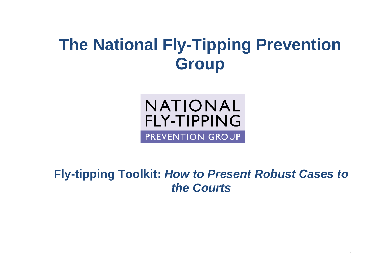# **The National Fly-Tipping Prevention Group**

**NATIONAL FLY-TIPPING** PREVENTION GROUP

**Fly-tipping Toolkit:** *How to Present Robust Cases to the Courts*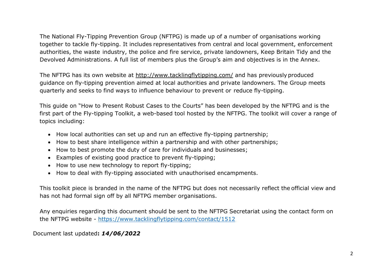The National Fly-Tipping Prevention Group (NFTPG) is made up of a number of organisations working together to tackle fly-tipping. It includes representatives from central and local government, enforcement authorities, the waste industry, the police and fire service, private landowners, Keep Britain Tidy and the Devolved Administrations. A full list of members plus the Group's aim and objectives is in the Annex.

The NFTPG has its own website at<http://www.tacklingflytipping.com/> and has previously produced guidance on fly-tipping prevention aimed at local authorities and private landowners. The Group meets quarterly and seeks to find ways to influence behaviour to prevent or reduce fly-tipping.

This guide on "How to Present Robust Cases to the Courts" has been developed by the NFTPG and is the first part of the Fly-tipping Toolkit, a web-based tool hosted by the NFTPG. The toolkit will cover a range of topics including:

- How local authorities can set up and run an effective fly-tipping partnership;
- How to best share intelligence within a partnership and with other partnerships;
- How to best promote the duty of care for individuals and businesses;
- Examples of existing good practice to prevent fly-tipping;
- How to use new technology to report fly-tipping;
- How to deal with fly-tipping associated with unauthorised encampments.

This toolkit piece is branded in the name of the NFTPG but does not necessarily reflect the official view and has not had formal sign off by all NFTPG member organisations.

Any enquiries regarding this document should be sent to the NFTPG Secretariat using the contact form on the NFTPG website - <https://www.tacklingflytipping.com/contact/1512>

Document last updated**:** *14/06/2022*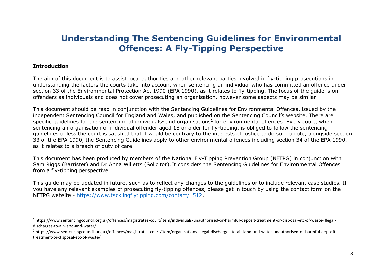# **Understanding The Sentencing Guidelines for Environmental Offences: A Fly-Tipping Perspective**

#### **Introduction**

The aim of this document is to assist local authorities and other relevant parties involved in fly-tipping prosecutions in understanding the factors the courts take into account when sentencing an individual who has committed an offence under section 33 of the Environmental Protection Act 1990 (EPA 1990), as it relates to fly-tipping. The focus of the guide is on offenders as individuals and does not cover prosecuting an organisation, however some aspects may be similar.

This document should be read in conjunction with the Sentencing Guidelines for Environmental Offences, issued by the independent Sentencing Council for England and Wales, and published on the Sentencing Council's website. There are specific guidelines for the sentencing of individuals<sup>1</sup> and organisations<sup>2</sup> for environmental offences. Every court, when sentencing an organisation or individual offender aged 18 or older for fly-tipping, is obliged to follow the sentencing guidelines unless the court is satisfied that it would be contrary to the interests of justice to do so. To note, alongside section 33 of the EPA 1990, the Sentencing Guidelines apply to other environmental offences including section 34 of the EPA 1990, as it relates to a breach of duty of care.

This document has been produced by members of the National Fly-Tipping Prevention Group (NFTPG) in conjunction with Sam Riggs (Barrister) and Dr Anna Willetts (Solicitor). It considers the Sentencing Guidelines for Environmental Offences from a fly-tipping perspective.

This guide may be updated in future, such as to reflect any changes to the guidelines or to include relevant case studies. If you have any relevant examples of prosecuting fly-tipping offences, please get in touch by using the contact form on the NFTPG website - [https://www.tacklingflytipping.com/contact/1512.](https://www.tacklingflytipping.com/contact/1512)

<sup>1</sup> https://www.sentencingcouncil.org.uk/offences/magistrates-court/item/individuals-unauthorised-or-harmful-deposit-treatment-or-disposal-etc-of-waste-illegaldischarges-to-air-land-and-water/

<sup>&</sup>lt;sup>2</sup> https://www.sentencingcouncil.org.uk/offences/magistrates-court/item/organisations-illegal-discharges-to-air-land-and-water-unauthorised-or-harmful-deposittreatment-or-disposal-etc-of-waste/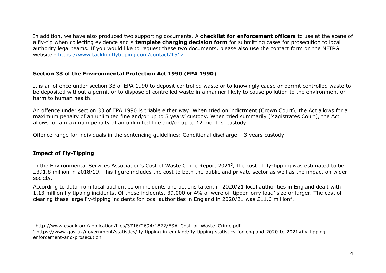In addition, we have also produced two supporting documents. A **checklist for enforcement officers** to use at the scene of a fly-tip when collecting evidence and a **template charging decision form** for submitting cases for prosecution to local authority legal teams. If you would like to request these two documents, please also use the contact form on the NFTPG website - <https://www.tacklingflytipping.com/contact/1512.>

#### **Section 33 of the Environmental Protection Act 1990 (EPA 1990)**

It is an offence under section 33 of EPA 1990 to deposit controlled waste or to knowingly cause or permit controlled waste to be deposited without a permit or to dispose of controlled waste in a manner likely to cause pollution to the environment or harm to human health.

An offence under section 33 of EPA 1990 is triable either way. When tried on indictment (Crown Court), the Act allows for a maximum penalty of an unlimited fine and/or up to 5 years' custody. When tried summarily (Magistrates Court), the Act allows for a maximum penalty of an unlimited fine and/or up to 12 months' custody.

Offence range for individuals in the sentencing guidelines: Conditional discharge – 3 years custody

#### **Impact of Fly-Tipping**

In the Environmental Services Association's Cost of Waste Crime Report 2021<sup>3</sup>, the cost of fly-tipping was estimated to be £391.8 million in 2018/19. This figure includes the cost to both the public and private sector as well as the impact on wider society.

According to data from local authorities on incidents and actions taken, in 2020/21 local authorities in England dealt with 1.13 million fly tipping incidents. Of these incidents, 39,000 or 4% of were of 'tipper lorry load' size or larger. The cost of clearing these large fly-tipping incidents for local authorities in England in 2020/21 was £11.6 million<sup>4</sup>.

<sup>&</sup>lt;sup>3</sup> http://www.esauk.org/application/files/3716/2694/1872/ESA\_Cost\_of\_Waste\_Crime.pdf

<sup>4</sup> https://www.gov.uk/government/statistics/fly-tipping-in-england/fly-tipping-statistics-for-england-2020-to-2021#fly-tippingenforcement-and-prosecution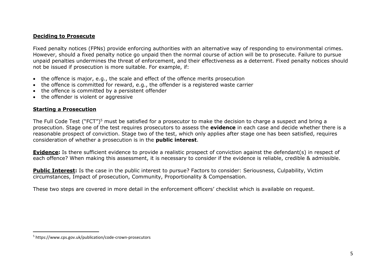#### **Deciding to Prosecute**

Fixed penalty notices (FPNs) provide enforcing authorities with an alternative way of responding to environmental crimes. However, should a fixed penalty notice go unpaid then the normal course of action will be to prosecute. Failure to pursue unpaid penalties undermines the threat of enforcement, and their effectiveness as a deterrent. Fixed penalty notices should not be issued if prosecution is more suitable. For example, if:

- the offence is major, e.g., the scale and effect of the offence merits prosecution
- the offence is committed for reward, e.g., the offender is a registered waste carrier
- the offence is committed by a persistent offender
- the offender is violent or aggressive

#### **Starting a Prosecution**

The Full Code Test ("FCT")<sup>5</sup> must be satisfied for a prosecutor to make the decision to charge a suspect and bring a prosecution. Stage one of the test requires prosecutors to assess the **evidence** in each case and decide whether there is a reasonable prospect of conviction. Stage two of the test, which only applies after stage one has been satisfied, requires consideration of whether a prosecution is in the **public interest**.

**Evidence:** Is there sufficient evidence to provide a realistic prospect of conviction against the defendant(s) in respect of each offence? When making this assessment, it is necessary to consider if the evidence is reliable, credible & admissible.

**Public Interest:** Is the case in the public interest to pursue? Factors to consider: Seriousness, Culpability, Victim circumstances, Impact of prosecution, Community, Proportionality & Compensation.

These two steps are covered in more detail in the enforcement officers' checklist which is available on request.

<sup>5</sup> https://www.cps.gov.uk/publication/code-crown-prosecutors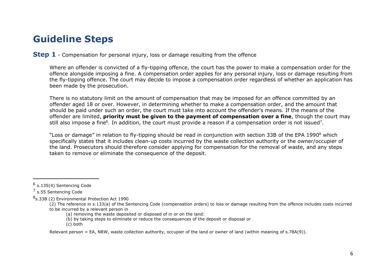# **Guideline Steps**

#### **Step 1** - Compensation for personal injury, loss or damage resulting from the offence

Where an offender is convicted of a fly-tipping offence, the court has the power to make a compensation order for the offence alongside imposing a fine. A compensation order applies for any personal injury, loss or damage resulting from the fly-tipping offence. The court may decide to impose a compensation order regardless of whether an application has been made by the prosecution.

There is no statutory limit on the amount of compensation that may be imposed for an offence committed by an offender aged 18 or over. However, in determining whether to make a compensation order, and the amount that should be paid under such an order, the court must take into account the offender's means. If the means of the offender are limited, **priority must be given to the payment of compensation over a fine**, though the court may still also impose a fine<sup>6</sup>. In addition, the court must provide a reason if a compensation order is not issued<sup>7</sup>.

"Loss or damage" in relation to fly-tipping should be read in conjunction with section 33B of the EPA 1990 $^8$  which specifically states that it includes clean-up costs incurred by the waste collection authority or the owner/occupier of the land. Prosecutors should therefore consider applying for compensation for the removal of waste, and any steps taken to remove or eliminate the consequence of the deposit.

8<sub>S</sub>.33B (2) Environmental Protection Act 1990

- (b) by taking steps to eliminate or reduce the consequences of the deposit or disposal or
- (c) both

Relevant person = EA, NRW, waste collection authority, occupier of the land or owner of land (within meaning of s.78A(9)).

<sup>&</sup>lt;sup>6</sup> s.135(4) Sentencing Code

<sup>&</sup>lt;sup>7</sup> s.55 Sentencing Code

<sup>(2)</sup> The reference in s.133(a) of the Sentencing Code (compensation orders) to loss or damage resulting from the offence includes costs incurred to be incurred by a relevant person in

<sup>(</sup>a) removing the waste deposited or disposed of in or on the land: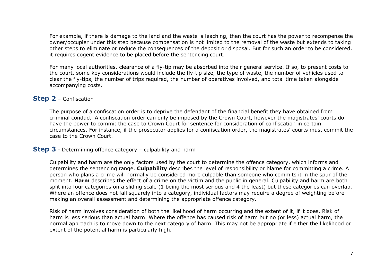For example, if there is damage to the land and the waste is leaching, then the court has the power to recompense the owner/occupier under this step because compensation is not limited to the removal of the waste but extends to taking other steps to eliminate or reduce the consequences of the deposit or disposal. But for such an order to be considered, it requires cogent evidence to be placed before the sentencing court.

For many local authorities, clearance of a fly-tip may be absorbed into their general service. If so, to present costs to the court, some key considerations would include the fly-tip size, the type of waste, the number of vehicles used to clear the fly-tips, the number of trips required, the number of operatives involved, and total time taken alongside accompanying costs.

# **Step 2** – Confiscation

The purpose of a confiscation order is to deprive the defendant of the financial benefit they have obtained from criminal conduct. A confiscation order can only be imposed by the Crown Court, however the magistrates' courts do have the power to commit the case to Crown Court for sentence for consideration of confiscation in certain circumstances. For instance, if the prosecutor applies for a confiscation order, the magistrates' courts must commit the case to the Crown Court.

# **Step 3** - Determining offence category – culpability and harm

Culpability and harm are the only factors used by the court to determine the offence category, which informs and determines the sentencing range. **Culpability** describes the level of responsibility or blame for committing a crime. A person who plans a crime will normally be considered more culpable than someone who commits it in the spur of the moment. **Harm** describes the effect of a crime on the victim and the public in general. Culpability and harm are both split into four categories on a sliding scale (1 being the most serious and 4 the least) but these categories can overlap. Where an offence does not fall squarely into a category, individual factors may require a degree of weighting before making an overall assessment and determining the appropriate offence category.

Risk of harm involves consideration of both the likelihood of harm occurring and the extent of it, if it does. Risk of harm is less serious than actual harm. Where the offence has caused risk of harm but no (or less) actual harm, the normal approach is to move down to the next category of harm. This may not be appropriate if either the likelihood or extent of the potential harm is particularly high.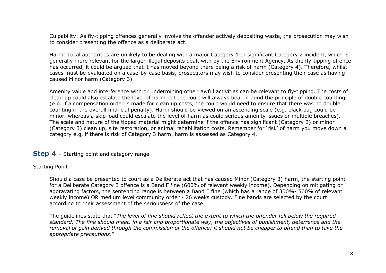Culpability: As fly-tipping offences generally involve the offender actively depositing waste, the prosecution may wish to consider presenting the offence as a deliberate act.

Harm: Local authorities are unlikely to be dealing with a major Category 1 or significant Category 2 incident, which is generally more relevant for the larger illegal deposits dealt with by the Environment Agency. As the fly-tipping offence has occurred, it could be argued that it has moved beyond there being a risk of harm (Category 4). Therefore, whilst cases must be evaluated on a case-by-case basis, prosecutors may wish to consider presenting their case as having caused Minor harm (Category 3).

Amenity value and interference with or undermining other lawful activities can be relevant to fly-tipping. The costs of clean up could also escalate the level of harm but the court will always bear in mind the principle of double counting (e.g. if a compensation order is made for clean up costs, the court would need to ensure that there was no double counting in the overall financial penalty). Harm should be viewed on an ascending scale (e.g. black bag could be minor, whereas a skip load could escalate the level of harm as could serious amenity issues or multiple breaches). The scale and nature of the tipped material might determine if the offence has significant (Category 2) or minor (Category 3) clean up, site restoration, or animal rehabilitation costs. Remember for 'risk' of harm you move down a category e.g. if there is risk of Category 3 harm, harm is assessed as Category 4.

# **Step 4** – Starting point and category range

#### Starting Point

Should a case be presented to court as a Deliberate act that has caused Minor (Category 3) harm, the starting point for a Deliberate Category 3 offence is a Band F fine (600% of relevant weekly income). Depending on mitigating or aggravating factors, the sentencing range is between a Band E fine (which has a range of 300%- 500% of relevant weekly income) OR medium level community order - 26 weeks custody. Fine bands are selected by the court according to their assessment of the seriousness of the case.

The guidelines state that "*The level of fine should reflect the extent to which the offender fell below the required standard. The fine should meet, in a fair and proportionate way, the objectives of punishment, deterrence and the removal of gain derived through the commission of the offence; it should not be cheaper to offend than to take the appropriate precautions*."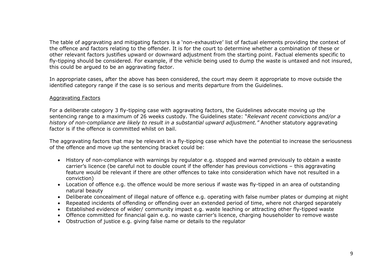The table of aggravating and mitigating factors is a 'non-exhaustive' list of factual elements providing the context of the offence and factors relating to the offender. It is for the court to determine whether a combination of these or other relevant factors justifies upward or downward adjustment from the starting point. Factual elements specific to fly-tipping should be considered. For example, if the vehicle being used to dump the waste is untaxed and not insured, this could be argued to be an aggravating factor.

In appropriate cases, after the above has been considered, the court may deem it appropriate to move outside the identified category range if the case is so serious and merits departure from the Guidelines.

#### Aggravating Factors

For a deliberate category 3 fly-tipping case with aggravating factors, the Guidelines advocate moving up the sentencing range to a maximum of 26 weeks custody. The Guidelines state: "*Relevant recent convictions and/or a history of non-compliance are likely to result in a substantial upward adjustment."* Another statutory aggravating factor is if the offence is committed whilst on bail.

The aggravating factors that may be relevant in a fly-tipping case which have the potential to increase the seriousness of the offence and move up the sentencing bracket could be:

- History of non-compliance with warnings by regulator e.g. stopped and warned previously to obtain a waste carrier's licence (be careful not to double count if the offender has previous convictions – this aggravating feature would be relevant if there are other offences to take into consideration which have not resulted in a conviction)
- Location of offence e.g. the offence would be more serious if waste was fly-tipped in an area of outstanding natural beauty
- Deliberate concealment of illegal nature of offence e.g. operating with false number plates or dumping at night
- Repeated incidents of offending or offending over an extended period of time, where not charged separately
- Established evidence of wider/ community impact e.g. waste leaching or attracting other fly-tipped waste
- Offence committed for financial gain e.g. no waste carrier's licence, charging householder to remove waste
- Obstruction of justice e.g. giving false name or details to the regulator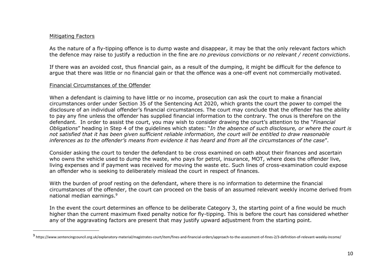#### Mitigating Factors

As the nature of a fly-tipping offence is to dump waste and disappear, it may be that the only relevant factors which the defence may raise to justify a reduction in the fine are *no previous convictions* or *no relevant / recent convictions*.

If there was an avoided cost, thus financial gain, as a result of the dumping, it might be difficult for the defence to argue that there was little or no financial gain or that the offence was a one-off event not commercially motivated.

#### Financial Circumstances of the Offender

When a defendant is claiming to have little or no income, prosecution can ask the court to make a financial circumstances order under Section 35 of the Sentencing Act 2020, which grants the court the power to compel the disclosure of an individual offender's financial circumstances. The court may conclude that the offender has the ability to pay any fine unless the offender has supplied financial information to the contrary. The onus is therefore on the defendant. In order to assist the court, you may wish to consider drawing the court's attention to the "*Financial Obligations*" heading in Step 4 of the guidelines which states: "*In the absence of such disclosure, or where the court is not satisfied that it has been given sufficient reliable information, the court will be entitled to draw reasonable inferences as to the offender's means from evidence it has heard and from all the circumstances of the case*".

Consider asking the court to tender the defendant to be cross examined on oath about their finances and ascertain who owns the vehicle used to dump the waste, who pays for petrol, insurance, MOT, where does the offender live, living expenses and if payment was received for moving the waste etc. Such lines of cross-examination could expose an offender who is seeking to deliberately mislead the court in respect of finances.

With the burden of proof resting on the defendant, where there is no information to determine the financial circumstances of the offender, the court can proceed on the basis of an assumed relevant weekly income derived from national median earnings.<sup>9</sup>

In the event the court determines an offence to be deliberate Category 3, the starting point of a fine would be much higher than the current maximum fixed penalty notice for fly-tipping. This is before the court has considered whether any of the aggravating factors are present that may justify upward adjustment from the starting point.

<sup>&</sup>lt;sup>9</sup> https://www.sentencingcouncil.org.uk/explanatory-material/magistrates-court/item/fines-and-financial-orders/approach-to-the-assessment-of-fines-2/3-definition-of-relevant-weekly-income/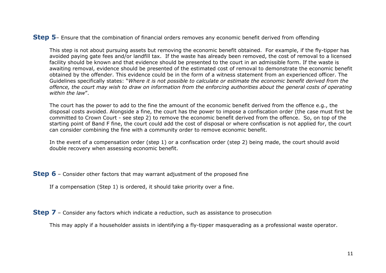#### **Step 5**– Ensure that the combination of financial orders removes any economic benefit derived from offending

This step is not about pursuing assets but removing the economic benefit obtained. For example, if the fly-tipper has avoided paying gate fees and/or landfill tax. If the waste has already been removed, the cost of removal to a licensed facility should be known and that evidence should be presented to the court in an admissible form. If the waste is awaiting removal, evidence should be presented of the estimated cost of removal to demonstrate the economic benefit obtained by the offender. This evidence could be in the form of a witness statement from an experienced officer. The Guidelines specifically states: "*Where it is not possible to calculate or estimate the economic benefit derived from the offence, the court may wish to draw on information from the enforcing authorities about the general costs of operating within the law*".

The court has the power to add to the fine the amount of the economic benefit derived from the offence e.g., the disposal costs avoided. Alongside a fine, the court has the power to impose a confiscation order (the case must first be committed to Crown Court - see step 2) to remove the economic benefit derived from the offence. So, on top of the starting point of Band F fine, the court could add the cost of disposal or where confiscation is not applied for, the court can consider combining the fine with a community order to remove economic benefit.

In the event of a compensation order (step 1) or a confiscation order (step 2) being made, the court should avoid double recovery when assessing economic benefit.

**Step 6** – Consider other factors that may warrant adjustment of the proposed fine

If a compensation (Step 1) is ordered, it should take priority over a fine.

**Step 7** – Consider any factors which indicate a reduction, such as assistance to prosecution

This may apply if a householder assists in identifying a fly-tipper masquerading as a professional waste operator.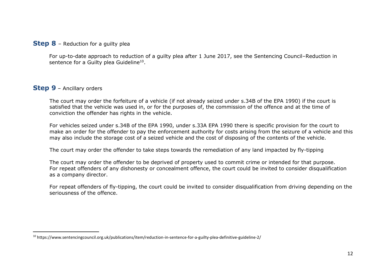#### **Step 8** – Reduction for a guilty plea

For up-to-date approach to reduction of a guilty plea after 1 June 2017, see the Sentencing Council–Reduction in sentence for a Guilty plea Guideline<sup>10</sup>.

### **Step 9** – Ancillary orders

The court may order the forfeiture of a vehicle (if not already seized under s.34B of the EPA 1990) if the court is satisfied that the vehicle was used in, or for the purposes of, the commission of the offence and at the time of conviction the offender has rights in the vehicle.

For vehicles seized under s.34B of the EPA 1990, under s.33A EPA 1990 there is specific provision for the court to make an order for the offender to pay the enforcement authority for costs arising from the seizure of a vehicle and this may also include the storage cost of a seized vehicle and the cost of disposing of the contents of the vehicle.

The court may order the offender to take steps towards the remediation of any land impacted by fly-tipping

The court may order the offender to be deprived of property used to commit crime or intended for that purpose. For repeat offenders of any dishonesty or concealment offence, the court could be invited to consider disqualification as a company director.

For repeat offenders of fly-tipping, the court could be invited to consider disqualification from driving depending on the seriousness of the offence.

<sup>10</sup> https://www.sentencingcouncil.org.uk/publications/item/reduction-in-sentence-for-a-guilty-plea-definitive-guideline-2/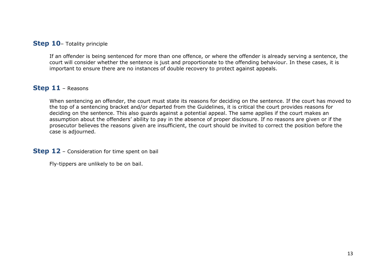# **Step 10**– Totality principle

If an offender is being sentenced for more than one offence, or where the offender is already serving a sentence, the court will consider whether the sentence is just and proportionate to the offending behaviour. In these cases, it is important to ensure there are no instances of double recovery to protect against appeals.

# **Step 11** – Reasons

When sentencing an offender, the court must state its reasons for deciding on the sentence. If the court has moved to the top of a sentencing bracket and/or departed from the Guidelines, it is critical the court provides reasons for deciding on the sentence. This also guards against a potential appeal. The same applies if the court makes an assumption about the offenders' ability to pay in the absence of proper disclosure. If no reasons are given or if the prosecutor believes the reasons given are insufficient, the court should be invited to correct the position before the case is adjourned.

**Step 12** – Consideration for time spent on bail

Fly-tippers are unlikely to be on bail.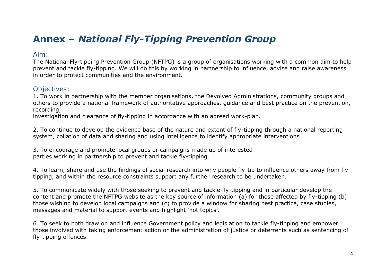# **Annex –** *National Fly-Tipping Prevention Group*

# Aim:

The National Fly-tipping Prevention Group (NFTPG) is a group of organisations working with a common aim to help prevent and tackle fly-tipping. We will do this by working in partnership to influence, advise and raise awareness in order to protect communities and the environment.

# Objectives:

1. To work in partnership with the member organisations, the Devolved Administrations, community groups and others to provide a national framework of authoritative approaches, guidance and best practice on the prevention, recording,

investigation and clearance of fly-tipping in accordance with an agreed work-plan.

2. To continue to develop the evidence base of the nature and extent of fly-tipping through a national reporting system, collation of data and sharing and using intelligence to identify appropriate interventions

3. To encourage and promote local groups or campaigns made up of interested parties working in partnership to prevent and tackle fly-tipping.

4. To learn, share and use the findings of social research into why people fly-tip to influence others away from flytipping, and within the resource constraints support any further research to be undertaken.

5. To communicate widely with those seeking to prevent and tackle fly-tipping and in particular develop the content and promote the NFTPG website as the key source of information (a) for those affected by fly-tipping (b) those wishing to develop local campaigns and (c) to provide a window for sharing best practice, case studies, messages and material to support events and highlight 'hot topics'.

6. To seek to both draw on and influence Government policy and legislation to tackle fly-tipping and empower those involved with taking enforcement action or the administration of justice or deterrents such as sentencing of fly-tipping offences.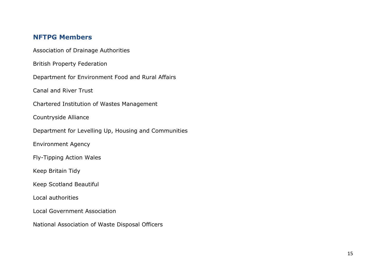# **NFTPG Members**

Association of Drainage Authorities

British Property Federation

Department for Environment Food and Rural Affairs

Canal and River Trust

Chartered Institution of Wastes Management

Countryside Alliance

Department for Levelling Up, Housing and Communities

Environment Agency

Fly-Tipping Action Wales

Keep Britain Tidy

Keep Scotland Beautiful

Local authorities

Local Government Association

National Association of Waste Disposal Officers